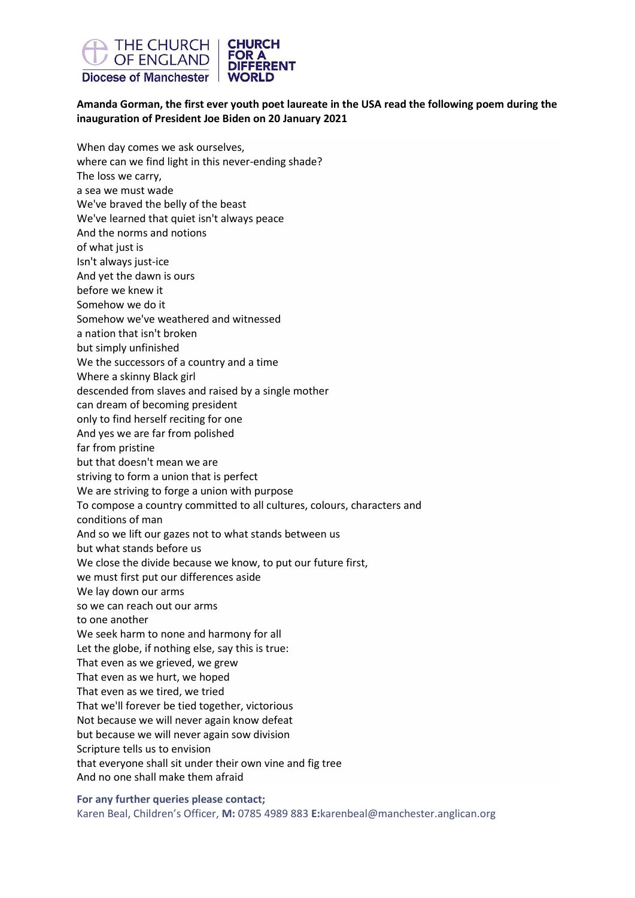

## **Amanda Gorman, the first ever youth poet laureate in the USA read the following poem during the inauguration of President Joe Biden on 20 January 2021**

When day comes we ask ourselves, where can we find light in this never-ending shade? The loss we carry, a sea we must wade We've braved the belly of the beast We've learned that quiet isn't always peace And the norms and notions of what just is Isn't always just-ice And yet the dawn is ours before we knew it Somehow we do it Somehow we've weathered and witnessed a nation that isn't broken but simply unfinished We the successors of a country and a time Where a skinny Black girl descended from slaves and raised by a single mother can dream of becoming president only to find herself reciting for one And yes we are far from polished far from pristine but that doesn't mean we are striving to form a union that is perfect We are striving to forge a union with purpose To compose a country committed to all cultures, colours, characters and conditions of man And so we lift our gazes not to what stands between us but what stands before us We close the divide because we know, to put our future first, we must first put our differences aside We lay down our arms so we can reach out our arms to one another We seek harm to none and harmony for all Let the globe, if nothing else, say this is true: That even as we grieved, we grew That even as we hurt, we hoped That even as we tired, we tried That we'll forever be tied together, victorious Not because we will never again know defeat but because we will never again sow division Scripture tells us to envision that everyone shall sit under their own vine and fig tree And no one shall make them afraid

**For any further queries please contact;** Karen Beal, Children's Officer, **M:** 0785 4989 883 **E:**karenbeal@manchester.anglican.org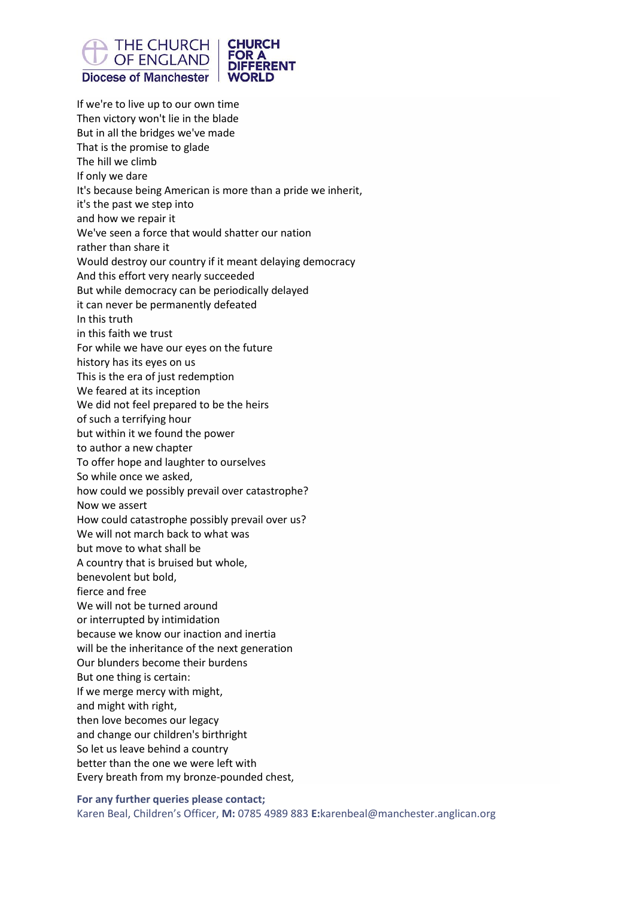

If we're to live up to our own time Then victory won't lie in the blade But in all the bridges we've made That is the promise to glade The hill we climb If only we dare It's because being American is more than a pride we inherit, it's the past we step into and how we repair it We've seen a force that would shatter our nation rather than share it Would destroy our country if it meant delaying democracy And this effort very nearly succeeded But while democracy can be periodically delayed it can never be permanently defeated In this truth in this faith we trust For while we have our eyes on the future history has its eyes on us This is the era of just redemption We feared at its inception We did not feel prepared to be the heirs of such a terrifying hour but within it we found the power to author a new chapter To offer hope and laughter to ourselves So while once we asked, how could we possibly prevail over catastrophe? Now we assert How could catastrophe possibly prevail over us? We will not march back to what was but move to what shall be A country that is bruised but whole, benevolent but bold, fierce and free We will not be turned around or interrupted by intimidation because we know our inaction and inertia will be the inheritance of the next generation Our blunders become their burdens But one thing is certain: If we merge mercy with might, and might with right, then love becomes our legacy and change our children's birthright So let us leave behind a country better than the one we were left with Every breath from my bronze-pounded chest,

**For any further queries please contact;**

Karen Beal, Children's Officer, **M:** 0785 4989 883 **E:**karenbeal@manchester.anglican.org